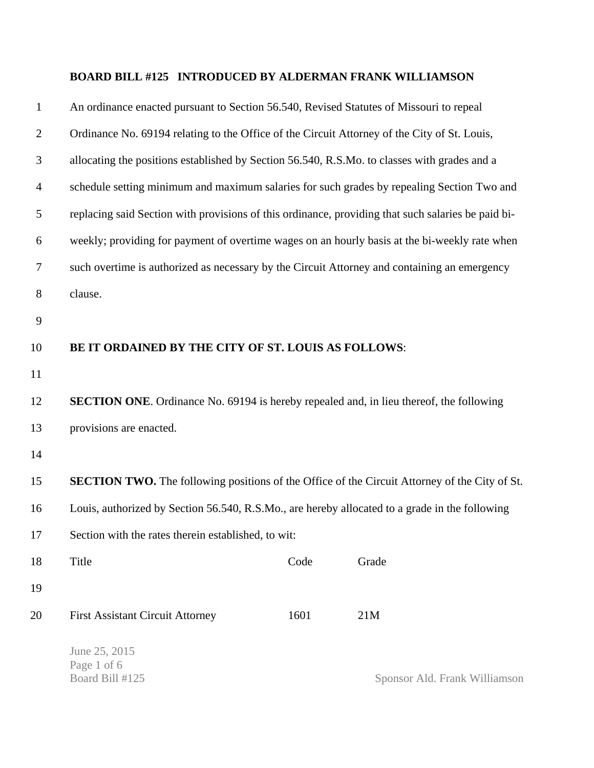## **BOARD BILL #125 INTRODUCED BY ALDERMAN FRANK WILLIAMSON**

| $\mathbf{1}$   | An ordinance enacted pursuant to Section 56.540, Revised Statutes of Missouri to repeal              |                                                                                              |  |  |
|----------------|------------------------------------------------------------------------------------------------------|----------------------------------------------------------------------------------------------|--|--|
| $\overline{2}$ |                                                                                                      | Ordinance No. 69194 relating to the Office of the Circuit Attorney of the City of St. Louis, |  |  |
| 3              | allocating the positions established by Section 56.540, R.S.Mo. to classes with grades and a         |                                                                                              |  |  |
| $\overline{4}$ | schedule setting minimum and maximum salaries for such grades by repealing Section Two and           |                                                                                              |  |  |
| 5              | replacing said Section with provisions of this ordinance, providing that such salaries be paid bi-   |                                                                                              |  |  |
| 6              | weekly; providing for payment of overtime wages on an hourly basis at the bi-weekly rate when        |                                                                                              |  |  |
| 7              | such overtime is authorized as necessary by the Circuit Attorney and containing an emergency         |                                                                                              |  |  |
| $8\,$          | clause.                                                                                              |                                                                                              |  |  |
| 9              |                                                                                                      |                                                                                              |  |  |
| 10             | BE IT ORDAINED BY THE CITY OF ST. LOUIS AS FOLLOWS:                                                  |                                                                                              |  |  |
| 11             |                                                                                                      |                                                                                              |  |  |
| 12             | <b>SECTION ONE.</b> Ordinance No. 69194 is hereby repealed and, in lieu thereof, the following       |                                                                                              |  |  |
| 13             | provisions are enacted.                                                                              |                                                                                              |  |  |
| 14             |                                                                                                      |                                                                                              |  |  |
| 15             | <b>SECTION TWO.</b> The following positions of the Office of the Circuit Attorney of the City of St. |                                                                                              |  |  |
| 16             | Louis, authorized by Section 56.540, R.S.Mo., are hereby allocated to a grade in the following       |                                                                                              |  |  |
| 17             | Section with the rates therein established, to wit:                                                  |                                                                                              |  |  |
| 18             | Title<br>Code<br>Grade                                                                               |                                                                                              |  |  |
| 19             |                                                                                                      |                                                                                              |  |  |
| 20             | 1601<br>21M<br><b>First Assistant Circuit Attorney</b>                                               |                                                                                              |  |  |
|                | June 25, 2015<br>Page 1 of 6<br>Board Bill #125                                                      | Sponsor Ald. Frank Williamson                                                                |  |  |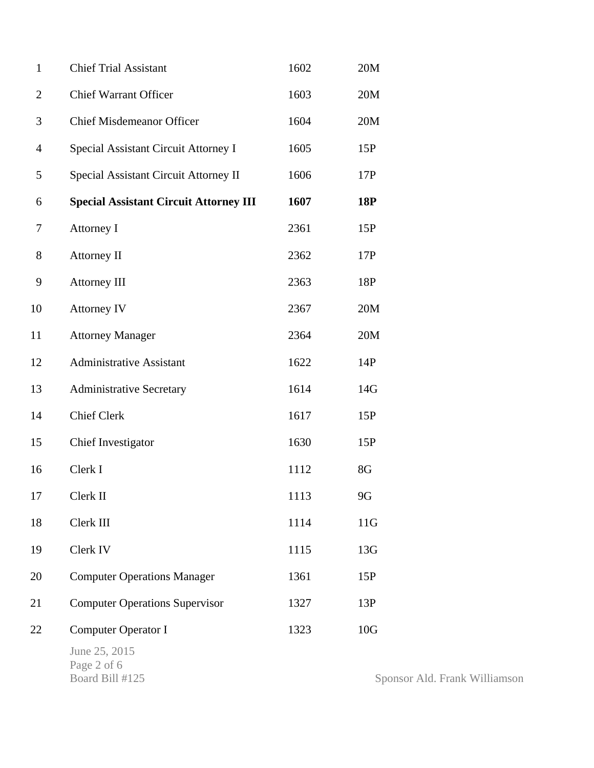| $\mathbf{1}$   | <b>Chief Trial Assistant</b>                    | 1602 | 20M          |
|----------------|-------------------------------------------------|------|--------------|
| $\overline{2}$ | <b>Chief Warrant Officer</b>                    | 1603 | 20M          |
| 3              | <b>Chief Misdemeanor Officer</b>                | 1604 | 20M          |
| $\overline{4}$ | Special Assistant Circuit Attorney I            | 1605 | 15P          |
| 5              | Special Assistant Circuit Attorney II           | 1606 | 17P          |
| 6              | <b>Special Assistant Circuit Attorney III</b>   | 1607 | 18P          |
| 7              | Attorney I                                      | 2361 | 15P          |
| 8              | <b>Attorney II</b>                              | 2362 | 17P          |
| 9              | Attorney III                                    | 2363 | 18P          |
| 10             | <b>Attorney IV</b>                              | 2367 | 20M          |
| 11             | <b>Attorney Manager</b>                         | 2364 | 20M          |
| 12             | <b>Administrative Assistant</b>                 | 1622 | 14P          |
| 13             | <b>Administrative Secretary</b>                 | 1614 | 14G          |
| 14             | <b>Chief Clerk</b>                              | 1617 | 15P          |
| 15             | Chief Investigator                              | 1630 | 15P          |
| 16             | Clerk I                                         | 1112 | 8G           |
| 17             | Clerk II                                        | 1113 | 9G           |
| 18             | Clerk III                                       | 1114 | 11G          |
| 19             | Clerk IV                                        | 1115 | 13G          |
| 20             | <b>Computer Operations Manager</b>              | 1361 | 15P          |
| 21             | <b>Computer Operations Supervisor</b>           | 1327 | 13P          |
| 22             | <b>Computer Operator I</b>                      | 1323 | 10G          |
|                | June 25, 2015<br>Page 2 of 6<br>Board Bill #125 |      | $S_{\Gamma}$ |

Sponsor Ald. Frank Williamson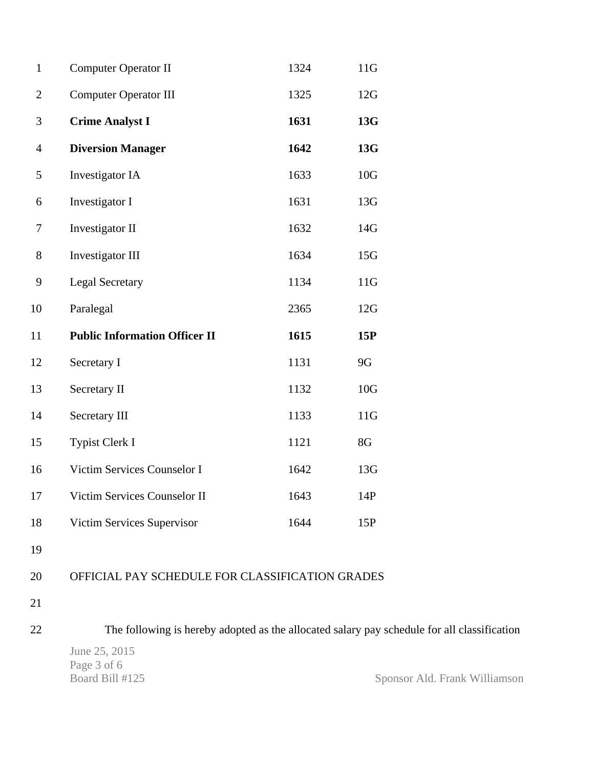| $\mathbf{1}$   | <b>Computer Operator II</b>                     | 1324 | 11G             |
|----------------|-------------------------------------------------|------|-----------------|
| $\overline{2}$ | <b>Computer Operator III</b>                    | 1325 | 12G             |
| 3              | <b>Crime Analyst I</b>                          | 1631 | 13G             |
| $\overline{4}$ | <b>Diversion Manager</b>                        | 1642 | 13G             |
| 5              | Investigator IA                                 | 1633 | 10G             |
| 6              | Investigator I                                  | 1631 | 13G             |
| 7              | Investigator II                                 | 1632 | 14G             |
| 8              | Investigator III                                | 1634 | 15G             |
| 9              | <b>Legal Secretary</b>                          | 1134 | 11G             |
| 10             | Paralegal                                       | 2365 | 12G             |
| 11             | <b>Public Information Officer II</b>            | 1615 | 15P             |
| 12             | Secretary I                                     | 1131 | 9G              |
| 13             | Secretary II                                    | 1132 | 10 <sub>G</sub> |
| 14             | Secretary III                                   | 1133 | 11G             |
| 15             | Typist Clerk I                                  | 1121 | 8G              |
| 16             | Victim Services Counselor I                     | 1642 | 13G             |
| 17             | Victim Services Counselor II                    | 1643 | 14P             |
| 18             | Victim Services Supervisor                      | 1644 | 15P             |
| 19             |                                                 |      |                 |
| 20             | OFFICIAL PAY SCHEDULE FOR CLASSIFICATION GRADES |      |                 |
| 21             |                                                 |      |                 |
|                |                                                 |      |                 |

22 The following is hereby adopted as the allocated salary pay schedule for all classification

June 25, 2015 Page 3 of 6<br>Board Bill #125

Sponsor Ald. Frank Williamson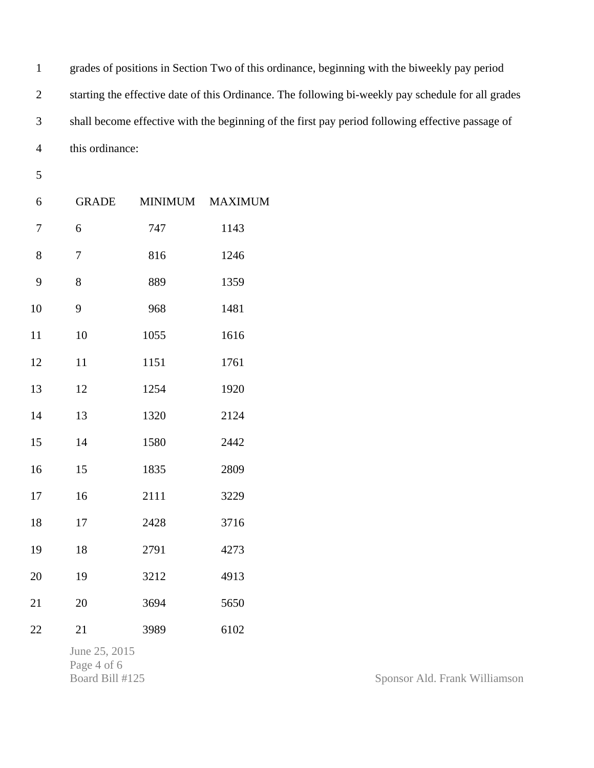1 grades of positions in Section Two of this ordinance, beginning with the biweekly pay period 2 starting the effective date of this Ordinance. The following bi-weekly pay schedule for all grades 3 shall become effective with the beginning of the first pay period following effective passage of 4 this ordinance:

5

| 6              | <b>GRADE</b> | MINIMUM | <b>MAXIMUM</b> |
|----------------|--------------|---------|----------------|
| $\overline{7}$ | 6            | 747     | 1143           |
| 8              | $\sqrt{ }$   | 816     | 1246           |
| 9              | 8            | 889     | 1359           |
| 10             | 9            | 968     | 1481           |
| 11             | 10           | 1055    | 1616           |
| 12             | 11           | 1151    | 1761           |
| 13             | 12           | 1254    | 1920           |
| 14             | 13           | 1320    | 2124           |
| 15             | 14           | 1580    | 2442           |
| 16             | 15           | 1835    | 2809           |
| 17             | 16           | 2111    | 3229           |
| 18             | 17           | 2428    | 3716           |
| 19             | 18           | 2791    | 4273           |
| 20             | 19           | 3212    | 4913           |
| 21             | 20           | 3694    | 5650           |
| 22             | 21           | 3989    | 6102           |
|                |              |         |                |

June 25, 2015 Page 4 of 6<br>Board Bill #125

Sponsor Ald. Frank Williamson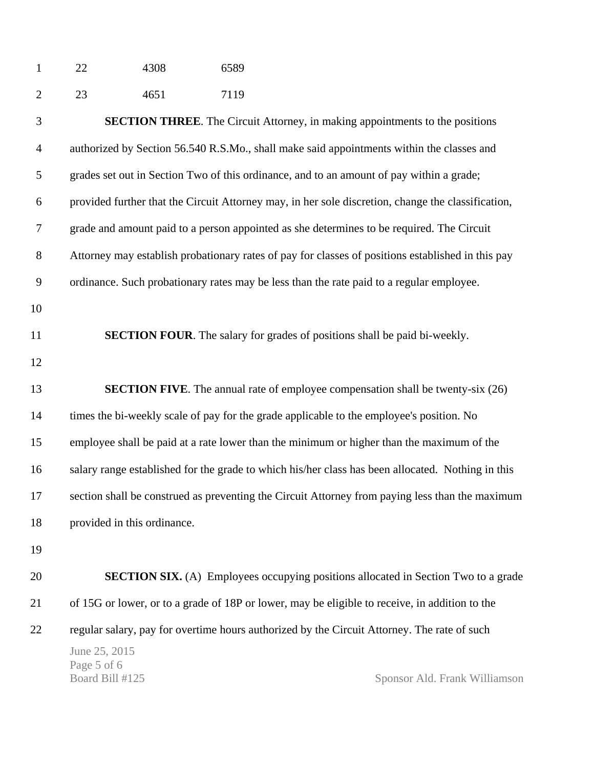| -1 | 22 | 4308 | 6589 |  |
|----|----|------|------|--|
|    |    |      |      |  |

| $\overline{2}$ | 23                                                                                                | 4651                        | 7119 |                                                                                                    |
|----------------|---------------------------------------------------------------------------------------------------|-----------------------------|------|----------------------------------------------------------------------------------------------------|
| 3              |                                                                                                   |                             |      | <b>SECTION THREE.</b> The Circuit Attorney, in making appointments to the positions                |
| $\overline{4}$ | authorized by Section 56.540 R.S.Mo., shall make said appointments within the classes and         |                             |      |                                                                                                    |
| 5              |                                                                                                   |                             |      | grades set out in Section Two of this ordinance, and to an amount of pay within a grade;           |
| 6              |                                                                                                   |                             |      | provided further that the Circuit Attorney may, in her sole discretion, change the classification, |
| 7              |                                                                                                   |                             |      | grade and amount paid to a person appointed as she determines to be required. The Circuit          |
| $8\,$          | Attorney may establish probationary rates of pay for classes of positions established in this pay |                             |      |                                                                                                    |
| 9              | ordinance. Such probationary rates may be less than the rate paid to a regular employee.          |                             |      |                                                                                                    |
| 10             |                                                                                                   |                             |      |                                                                                                    |
| 11             | <b>SECTION FOUR.</b> The salary for grades of positions shall be paid bi-weekly.                  |                             |      |                                                                                                    |
| 12             |                                                                                                   |                             |      |                                                                                                    |
| 13             |                                                                                                   |                             |      | <b>SECTION FIVE.</b> The annual rate of employee compensation shall be twenty-six (26)             |
| 14             |                                                                                                   |                             |      | times the bi-weekly scale of pay for the grade applicable to the employee's position. No           |
| 15             |                                                                                                   |                             |      | employee shall be paid at a rate lower than the minimum or higher than the maximum of the          |
| 16             |                                                                                                   |                             |      | salary range established for the grade to which his/her class has been allocated. Nothing in this  |
| 17             |                                                                                                   |                             |      | section shall be construed as preventing the Circuit Attorney from paying less than the maximum    |
| 18             |                                                                                                   | provided in this ordinance. |      |                                                                                                    |
| 19             |                                                                                                   |                             |      |                                                                                                    |
| 20             |                                                                                                   |                             |      | <b>SECTION SIX.</b> (A) Employees occupying positions allocated in Section Two to a grade          |
| 21             |                                                                                                   |                             |      | of 15G or lower, or to a grade of 18P or lower, may be eligible to receive, in addition to the     |
| 22             |                                                                                                   |                             |      | regular salary, pay for overtime hours authorized by the Circuit Attorney. The rate of such        |
|                | June 25, 2015<br>Page 5 of 6<br>Board Bill #125                                                   |                             |      | Sponsor Ald. Frank Williamson                                                                      |
|                |                                                                                                   |                             |      |                                                                                                    |